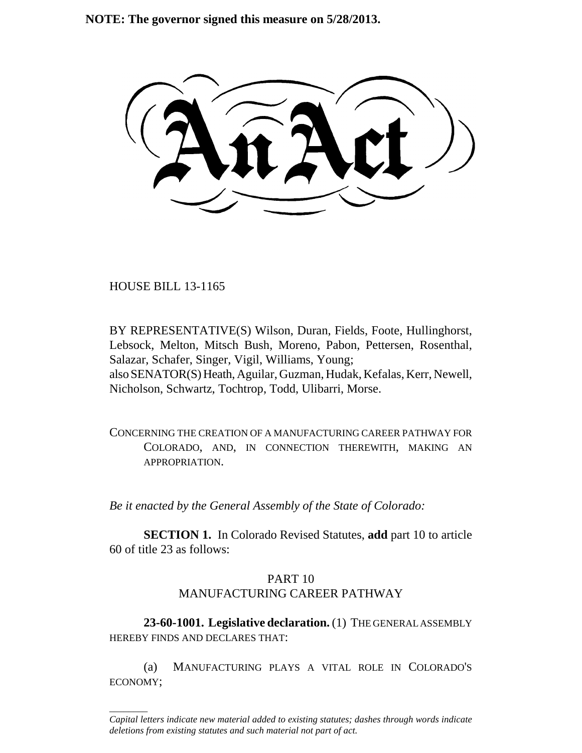**NOTE: The governor signed this measure on 5/28/2013.**

HOUSE BILL 13-1165

\_\_\_\_\_\_\_\_

BY REPRESENTATIVE(S) Wilson, Duran, Fields, Foote, Hullinghorst, Lebsock, Melton, Mitsch Bush, Moreno, Pabon, Pettersen, Rosenthal, Salazar, Schafer, Singer, Vigil, Williams, Young; also SENATOR(S) Heath, Aguilar, Guzman, Hudak, Kefalas, Kerr, Newell, Nicholson, Schwartz, Tochtrop, Todd, Ulibarri, Morse.

CONCERNING THE CREATION OF A MANUFACTURING CAREER PATHWAY FOR COLORADO, AND, IN CONNECTION THEREWITH, MAKING AN APPROPRIATION.

*Be it enacted by the General Assembly of the State of Colorado:*

**SECTION 1.** In Colorado Revised Statutes, **add** part 10 to article 60 of title 23 as follows:

# PART 10

# MANUFACTURING CAREER PATHWAY

**23-60-1001. Legislative declaration.** (1) THE GENERAL ASSEMBLY HEREBY FINDS AND DECLARES THAT:

(a) MANUFACTURING PLAYS A VITAL ROLE IN COLORADO'S ECONOMY;

*Capital letters indicate new material added to existing statutes; dashes through words indicate deletions from existing statutes and such material not part of act.*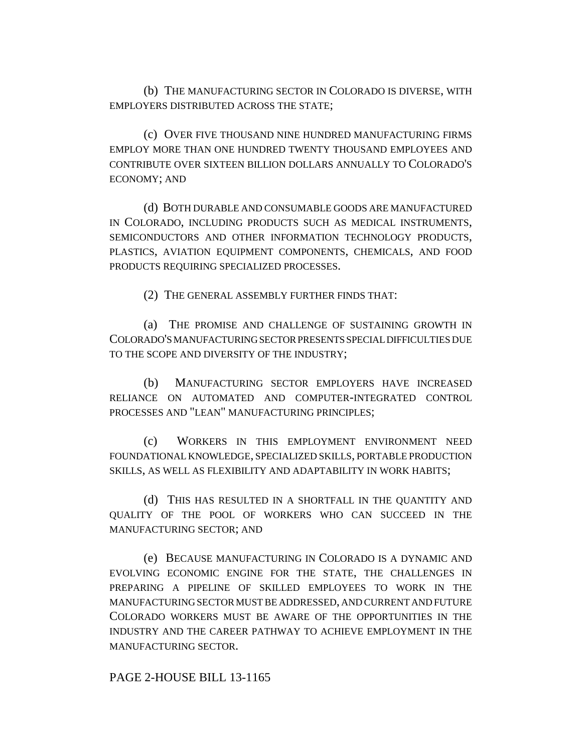(b) THE MANUFACTURING SECTOR IN COLORADO IS DIVERSE, WITH EMPLOYERS DISTRIBUTED ACROSS THE STATE;

(c) OVER FIVE THOUSAND NINE HUNDRED MANUFACTURING FIRMS EMPLOY MORE THAN ONE HUNDRED TWENTY THOUSAND EMPLOYEES AND CONTRIBUTE OVER SIXTEEN BILLION DOLLARS ANNUALLY TO COLORADO'S ECONOMY; AND

(d) BOTH DURABLE AND CONSUMABLE GOODS ARE MANUFACTURED IN COLORADO, INCLUDING PRODUCTS SUCH AS MEDICAL INSTRUMENTS, SEMICONDUCTORS AND OTHER INFORMATION TECHNOLOGY PRODUCTS, PLASTICS, AVIATION EQUIPMENT COMPONENTS, CHEMICALS, AND FOOD PRODUCTS REQUIRING SPECIALIZED PROCESSES.

(2) THE GENERAL ASSEMBLY FURTHER FINDS THAT:

(a) THE PROMISE AND CHALLENGE OF SUSTAINING GROWTH IN COLORADO'S MANUFACTURING SECTOR PRESENTS SPECIAL DIFFICULTIES DUE TO THE SCOPE AND DIVERSITY OF THE INDUSTRY;

(b) MANUFACTURING SECTOR EMPLOYERS HAVE INCREASED RELIANCE ON AUTOMATED AND COMPUTER-INTEGRATED CONTROL PROCESSES AND "LEAN" MANUFACTURING PRINCIPLES;

(c) WORKERS IN THIS EMPLOYMENT ENVIRONMENT NEED FOUNDATIONAL KNOWLEDGE, SPECIALIZED SKILLS, PORTABLE PRODUCTION SKILLS, AS WELL AS FLEXIBILITY AND ADAPTABILITY IN WORK HABITS;

(d) THIS HAS RESULTED IN A SHORTFALL IN THE QUANTITY AND QUALITY OF THE POOL OF WORKERS WHO CAN SUCCEED IN THE MANUFACTURING SECTOR; AND

(e) BECAUSE MANUFACTURING IN COLORADO IS A DYNAMIC AND EVOLVING ECONOMIC ENGINE FOR THE STATE, THE CHALLENGES IN PREPARING A PIPELINE OF SKILLED EMPLOYEES TO WORK IN THE MANUFACTURING SECTOR MUST BE ADDRESSED, AND CURRENT AND FUTURE COLORADO WORKERS MUST BE AWARE OF THE OPPORTUNITIES IN THE INDUSTRY AND THE CAREER PATHWAY TO ACHIEVE EMPLOYMENT IN THE MANUFACTURING SECTOR.

PAGE 2-HOUSE BILL 13-1165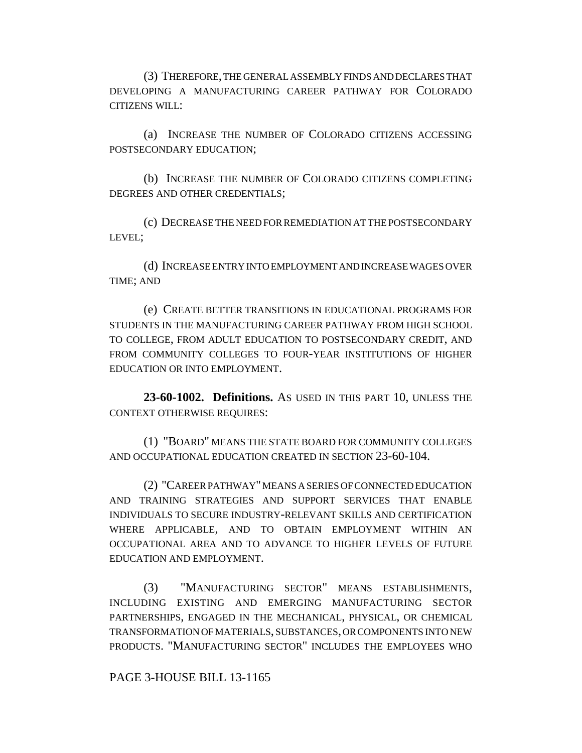(3) THEREFORE, THE GENERAL ASSEMBLY FINDS AND DECLARES THAT DEVELOPING A MANUFACTURING CAREER PATHWAY FOR COLORADO CITIZENS WILL:

(a) INCREASE THE NUMBER OF COLORADO CITIZENS ACCESSING POSTSECONDARY EDUCATION;

(b) INCREASE THE NUMBER OF COLORADO CITIZENS COMPLETING DEGREES AND OTHER CREDENTIALS;

(c) DECREASE THE NEED FOR REMEDIATION AT THE POSTSECONDARY LEVEL;

(d) INCREASE ENTRY INTO EMPLOYMENT AND INCREASE WAGES OVER TIME; AND

(e) CREATE BETTER TRANSITIONS IN EDUCATIONAL PROGRAMS FOR STUDENTS IN THE MANUFACTURING CAREER PATHWAY FROM HIGH SCHOOL TO COLLEGE, FROM ADULT EDUCATION TO POSTSECONDARY CREDIT, AND FROM COMMUNITY COLLEGES TO FOUR-YEAR INSTITUTIONS OF HIGHER EDUCATION OR INTO EMPLOYMENT.

**23-60-1002. Definitions.** AS USED IN THIS PART 10, UNLESS THE CONTEXT OTHERWISE REQUIRES:

(1) "BOARD" MEANS THE STATE BOARD FOR COMMUNITY COLLEGES AND OCCUPATIONAL EDUCATION CREATED IN SECTION 23-60-104.

(2) "CAREER PATHWAY" MEANS A SERIES OF CONNECTED EDUCATION AND TRAINING STRATEGIES AND SUPPORT SERVICES THAT ENABLE INDIVIDUALS TO SECURE INDUSTRY-RELEVANT SKILLS AND CERTIFICATION WHERE APPLICABLE, AND TO OBTAIN EMPLOYMENT WITHIN AN OCCUPATIONAL AREA AND TO ADVANCE TO HIGHER LEVELS OF FUTURE EDUCATION AND EMPLOYMENT.

(3) "MANUFACTURING SECTOR" MEANS ESTABLISHMENTS, INCLUDING EXISTING AND EMERGING MANUFACTURING SECTOR PARTNERSHIPS, ENGAGED IN THE MECHANICAL, PHYSICAL, OR CHEMICAL TRANSFORMATION OF MATERIALS, SUBSTANCES, OR COMPONENTS INTO NEW PRODUCTS. "MANUFACTURING SECTOR" INCLUDES THE EMPLOYEES WHO

PAGE 3-HOUSE BILL 13-1165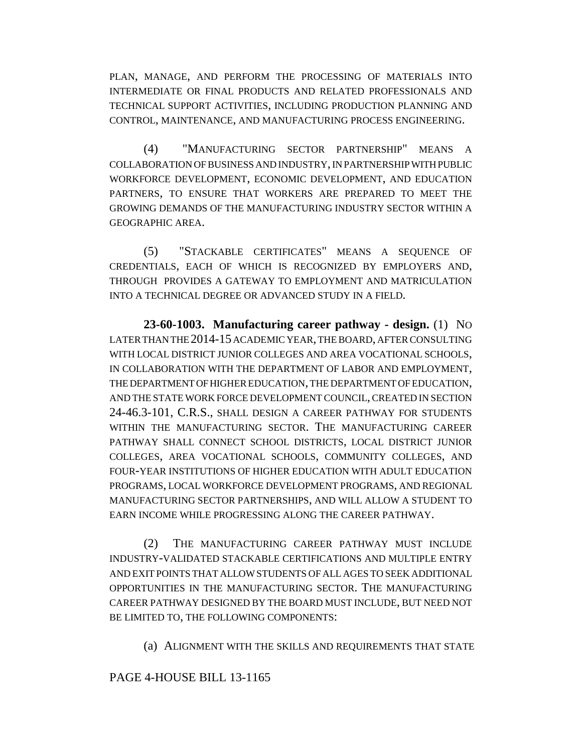PLAN, MANAGE, AND PERFORM THE PROCESSING OF MATERIALS INTO INTERMEDIATE OR FINAL PRODUCTS AND RELATED PROFESSIONALS AND TECHNICAL SUPPORT ACTIVITIES, INCLUDING PRODUCTION PLANNING AND CONTROL, MAINTENANCE, AND MANUFACTURING PROCESS ENGINEERING.

(4) "MANUFACTURING SECTOR PARTNERSHIP" MEANS A COLLABORATION OF BUSINESS AND INDUSTRY, IN PARTNERSHIP WITH PUBLIC WORKFORCE DEVELOPMENT, ECONOMIC DEVELOPMENT, AND EDUCATION PARTNERS, TO ENSURE THAT WORKERS ARE PREPARED TO MEET THE GROWING DEMANDS OF THE MANUFACTURING INDUSTRY SECTOR WITHIN A GEOGRAPHIC AREA.

(5) "STACKABLE CERTIFICATES" MEANS A SEQUENCE OF CREDENTIALS, EACH OF WHICH IS RECOGNIZED BY EMPLOYERS AND, THROUGH PROVIDES A GATEWAY TO EMPLOYMENT AND MATRICULATION INTO A TECHNICAL DEGREE OR ADVANCED STUDY IN A FIELD.

**23-60-1003. Manufacturing career pathway - design.** (1) NO LATER THAN THE 2014-15 ACADEMIC YEAR, THE BOARD, AFTER CONSULTING WITH LOCAL DISTRICT JUNIOR COLLEGES AND AREA VOCATIONAL SCHOOLS, IN COLLABORATION WITH THE DEPARTMENT OF LABOR AND EMPLOYMENT, THE DEPARTMENT OF HIGHER EDUCATION, THE DEPARTMENT OF EDUCATION, AND THE STATE WORK FORCE DEVELOPMENT COUNCIL, CREATED IN SECTION 24-46.3-101, C.R.S., SHALL DESIGN A CAREER PATHWAY FOR STUDENTS WITHIN THE MANUFACTURING SECTOR. THE MANUFACTURING CAREER PATHWAY SHALL CONNECT SCHOOL DISTRICTS, LOCAL DISTRICT JUNIOR COLLEGES, AREA VOCATIONAL SCHOOLS, COMMUNITY COLLEGES, AND FOUR-YEAR INSTITUTIONS OF HIGHER EDUCATION WITH ADULT EDUCATION PROGRAMS, LOCAL WORKFORCE DEVELOPMENT PROGRAMS, AND REGIONAL MANUFACTURING SECTOR PARTNERSHIPS, AND WILL ALLOW A STUDENT TO EARN INCOME WHILE PROGRESSING ALONG THE CAREER PATHWAY.

(2) THE MANUFACTURING CAREER PATHWAY MUST INCLUDE INDUSTRY-VALIDATED STACKABLE CERTIFICATIONS AND MULTIPLE ENTRY AND EXIT POINTS THAT ALLOW STUDENTS OF ALL AGES TO SEEK ADDITIONAL OPPORTUNITIES IN THE MANUFACTURING SECTOR. THE MANUFACTURING CAREER PATHWAY DESIGNED BY THE BOARD MUST INCLUDE, BUT NEED NOT BE LIMITED TO, THE FOLLOWING COMPONENTS:

(a) ALIGNMENT WITH THE SKILLS AND REQUIREMENTS THAT STATE

#### PAGE 4-HOUSE BILL 13-1165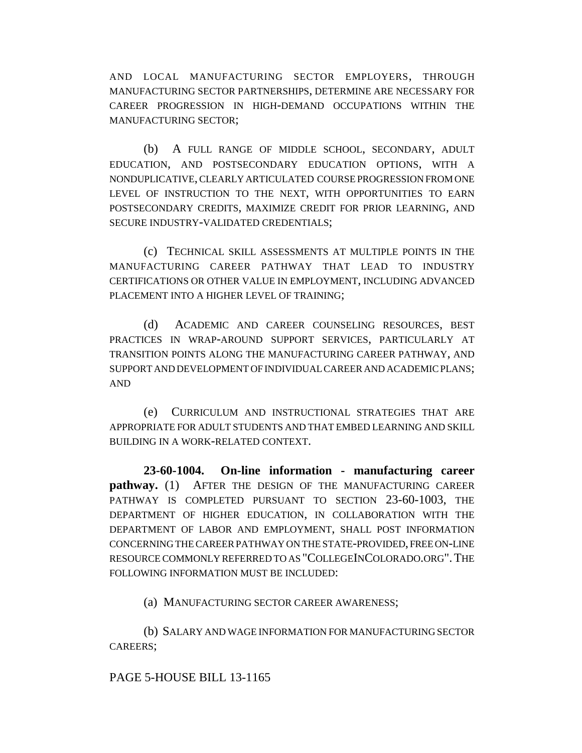AND LOCAL MANUFACTURING SECTOR EMPLOYERS, THROUGH MANUFACTURING SECTOR PARTNERSHIPS, DETERMINE ARE NECESSARY FOR CAREER PROGRESSION IN HIGH-DEMAND OCCUPATIONS WITHIN THE MANUFACTURING SECTOR;

(b) A FULL RANGE OF MIDDLE SCHOOL, SECONDARY, ADULT EDUCATION, AND POSTSECONDARY EDUCATION OPTIONS, WITH A NONDUPLICATIVE, CLEARLY ARTICULATED COURSE PROGRESSION FROM ONE LEVEL OF INSTRUCTION TO THE NEXT, WITH OPPORTUNITIES TO EARN POSTSECONDARY CREDITS, MAXIMIZE CREDIT FOR PRIOR LEARNING, AND SECURE INDUSTRY-VALIDATED CREDENTIALS;

(c) TECHNICAL SKILL ASSESSMENTS AT MULTIPLE POINTS IN THE MANUFACTURING CAREER PATHWAY THAT LEAD TO INDUSTRY CERTIFICATIONS OR OTHER VALUE IN EMPLOYMENT, INCLUDING ADVANCED PLACEMENT INTO A HIGHER LEVEL OF TRAINING;

(d) ACADEMIC AND CAREER COUNSELING RESOURCES, BEST PRACTICES IN WRAP-AROUND SUPPORT SERVICES, PARTICULARLY AT TRANSITION POINTS ALONG THE MANUFACTURING CAREER PATHWAY, AND SUPPORT AND DEVELOPMENT OF INDIVIDUAL CAREER AND ACADEMIC PLANS; AND

(e) CURRICULUM AND INSTRUCTIONAL STRATEGIES THAT ARE APPROPRIATE FOR ADULT STUDENTS AND THAT EMBED LEARNING AND SKILL BUILDING IN A WORK-RELATED CONTEXT.

**23-60-1004. On-line information - manufacturing career pathway.** (1) AFTER THE DESIGN OF THE MANUFACTURING CAREER PATHWAY IS COMPLETED PURSUANT TO SECTION 23-60-1003, THE DEPARTMENT OF HIGHER EDUCATION, IN COLLABORATION WITH THE DEPARTMENT OF LABOR AND EMPLOYMENT, SHALL POST INFORMATION CONCERNING THE CAREER PATHWAY ON THE STATE-PROVIDED, FREE ON-LINE RESOURCE COMMONLY REFERRED TO AS "COLLEGEINCOLORADO.ORG".THE FOLLOWING INFORMATION MUST BE INCLUDED:

(a) MANUFACTURING SECTOR CAREER AWARENESS;

(b) SALARY AND WAGE INFORMATION FOR MANUFACTURING SECTOR CAREERS;

## PAGE 5-HOUSE BILL 13-1165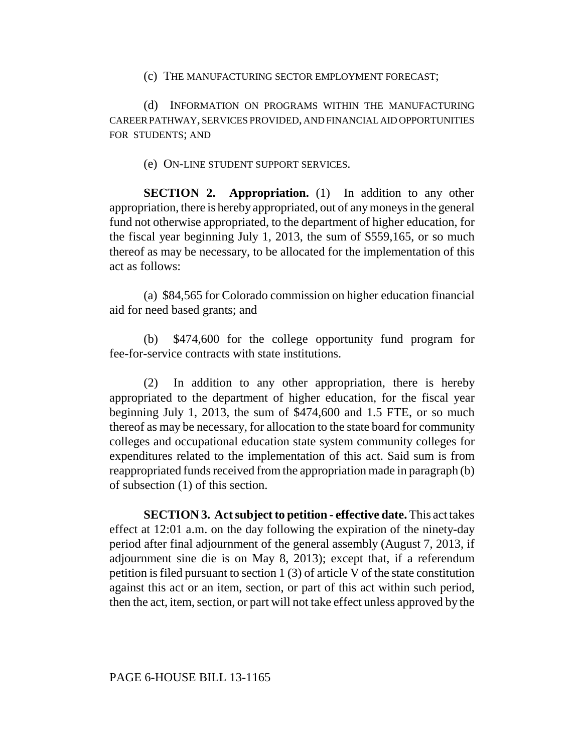#### (c) THE MANUFACTURING SECTOR EMPLOYMENT FORECAST;

(d) INFORMATION ON PROGRAMS WITHIN THE MANUFACTURING CAREER PATHWAY, SERVICES PROVIDED, AND FINANCIAL AID OPPORTUNITIES FOR STUDENTS; AND

## (e) ON-LINE STUDENT SUPPORT SERVICES.

**SECTION 2. Appropriation.** (1) In addition to any other appropriation, there is hereby appropriated, out of any moneys in the general fund not otherwise appropriated, to the department of higher education, for the fiscal year beginning July 1, 2013, the sum of \$559,165, or so much thereof as may be necessary, to be allocated for the implementation of this act as follows:

(a) \$84,565 for Colorado commission on higher education financial aid for need based grants; and

(b) \$474,600 for the college opportunity fund program for fee-for-service contracts with state institutions.

(2) In addition to any other appropriation, there is hereby appropriated to the department of higher education, for the fiscal year beginning July 1, 2013, the sum of \$474,600 and 1.5 FTE, or so much thereof as may be necessary, for allocation to the state board for community colleges and occupational education state system community colleges for expenditures related to the implementation of this act. Said sum is from reappropriated funds received from the appropriation made in paragraph (b) of subsection (1) of this section.

**SECTION 3. Act subject to petition - effective date.** This act takes effect at 12:01 a.m. on the day following the expiration of the ninety-day period after final adjournment of the general assembly (August 7, 2013, if adjournment sine die is on May 8, 2013); except that, if a referendum petition is filed pursuant to section 1 (3) of article V of the state constitution against this act or an item, section, or part of this act within such period, then the act, item, section, or part will not take effect unless approved by the